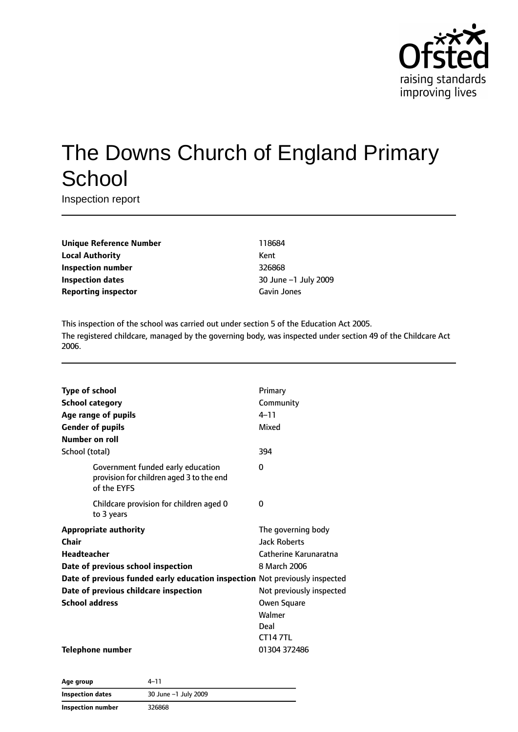

# The Downs Church of England Primary **School**

Inspection report

| <b>Unique Reference Number</b> | 1186  |
|--------------------------------|-------|
| <b>Local Authority</b>         | Kent  |
| Inspection number              | 3268  |
| Inspection dates               | 30 Ji |
| <b>Reporting inspector</b>     | Gavi  |

**Unique Reference Number** 118684 **Inspection number** 326868 **Inspection dates** 30 June –1 July 2009 **Gavin Jones** 

This inspection of the school was carried out under section 5 of the Education Act 2005. The registered childcare, managed by the governing body, was inspected under section 49 of the Childcare Act 2006.

| <b>Type of school</b>                                                                        | Primary                  |
|----------------------------------------------------------------------------------------------|--------------------------|
| <b>School category</b>                                                                       | Community                |
| Age range of pupils                                                                          | $4 - 11$                 |
| <b>Gender of pupils</b>                                                                      | Mixed                    |
| <b>Number on roll</b>                                                                        |                          |
| School (total)                                                                               | 394                      |
| Government funded early education<br>provision for children aged 3 to the end<br>of the EYFS | 0                        |
| Childcare provision for children aged 0<br>to 3 years                                        | 0                        |
| <b>Appropriate authority</b>                                                                 | The governing body       |
| Chair                                                                                        | <b>Jack Roberts</b>      |
| Headteacher                                                                                  | Catherine Karunaratna    |
| Date of previous school inspection                                                           | 8 March 2006             |
| Date of previous funded early education inspection Not previously inspected                  |                          |
| Date of previous childcare inspection                                                        | Not previously inspected |
| <b>School address</b>                                                                        | Owen Square              |
|                                                                                              | Walmer                   |
|                                                                                              | Deal                     |
|                                                                                              | <b>CT147TL</b>           |
| <b>Telephone number</b>                                                                      | 01304 372486             |

| Age group                | $4 - 11$             |  |
|--------------------------|----------------------|--|
| Inspection dates         | 30 June -1 July 2009 |  |
| <b>Inspection number</b> | 326868               |  |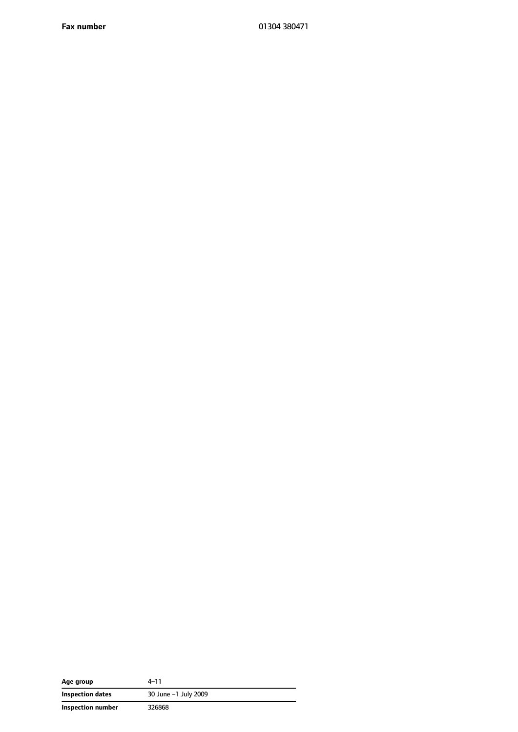**Fax number** 01304 380471

| Age group         | $4 - 11$             |  |
|-------------------|----------------------|--|
| Inspection dates  | 30 June -1 July 2009 |  |
| Inspection number | 326868               |  |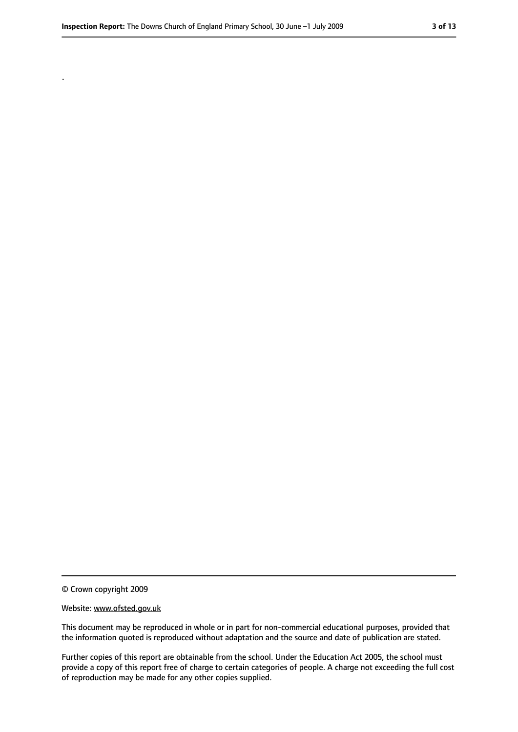.

<sup>©</sup> Crown copyright 2009

Website: www.ofsted.gov.uk

This document may be reproduced in whole or in part for non-commercial educational purposes, provided that the information quoted is reproduced without adaptation and the source and date of publication are stated.

Further copies of this report are obtainable from the school. Under the Education Act 2005, the school must provide a copy of this report free of charge to certain categories of people. A charge not exceeding the full cost of reproduction may be made for any other copies supplied.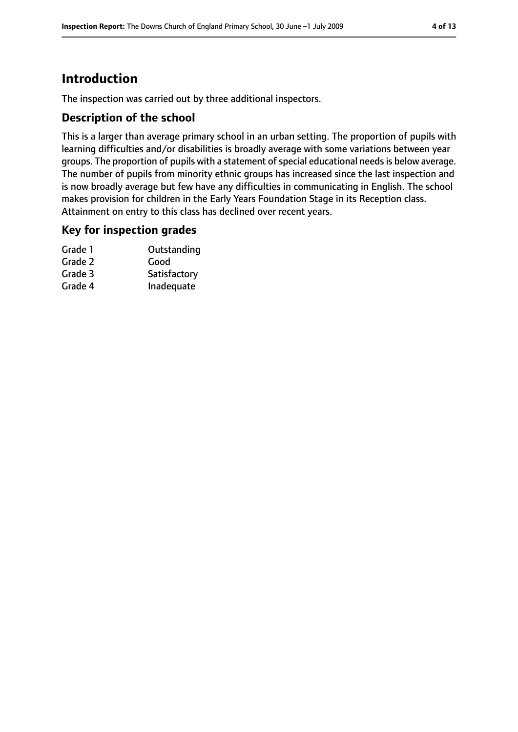### **Introduction**

The inspection was carried out by three additional inspectors.

#### **Description of the school**

This is a larger than average primary school in an urban setting. The proportion of pupils with learning difficulties and/or disabilities is broadly average with some variations between year groups. The proportion of pupils with a statement of special educational needs is below average. The number of pupils from minority ethnic groups has increased since the last inspection and is now broadly average but few have any difficulties in communicating in English. The school makes provision for children in the Early Years Foundation Stage in its Reception class. Attainment on entry to this class has declined over recent years.

#### **Key for inspection grades**

| Outstanding  |
|--------------|
| Good         |
| Satisfactory |
| Inadequate   |
|              |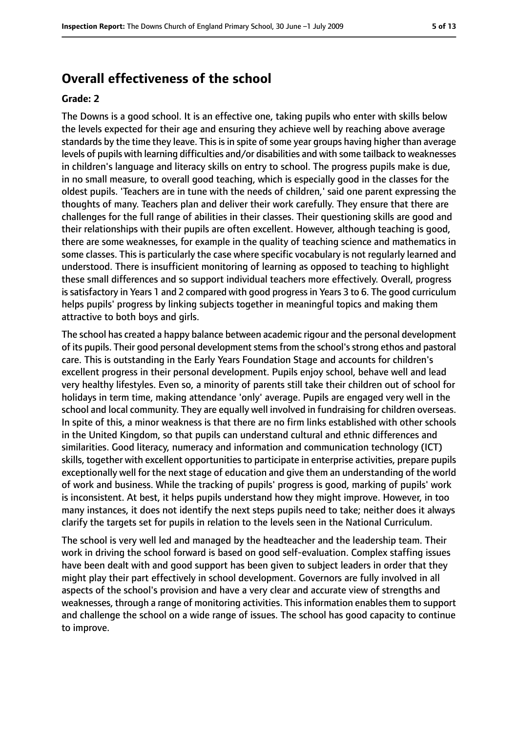### **Overall effectiveness of the school**

#### **Grade: 2**

The Downs is a good school. It is an effective one, taking pupils who enter with skills below the levels expected for their age and ensuring they achieve well by reaching above average standards by the time they leave. This is in spite of some year groups having higher than average levels of pupils with learning difficulties and/or disabilities and with some tailback to weaknesses in children's language and literacy skills on entry to school. The progress pupils make is due, in no small measure, to overall good teaching, which is especially good in the classes for the oldest pupils. 'Teachers are in tune with the needs of children,' said one parent expressing the thoughts of many. Teachers plan and deliver their work carefully. They ensure that there are challenges for the full range of abilities in their classes. Their questioning skills are good and their relationships with their pupils are often excellent. However, although teaching is good, there are some weaknesses, for example in the quality of teaching science and mathematics in some classes. This is particularly the case where specific vocabulary is not regularly learned and understood. There is insufficient monitoring of learning as opposed to teaching to highlight these small differences and so support individual teachers more effectively. Overall, progress issatisfactory in Years 1 and 2 compared with good progressin Years 3 to 6. The good curriculum helps pupils' progress by linking subjects together in meaningful topics and making them attractive to both boys and girls.

The school has created a happy balance between academic rigour and the personal development of its pupils. Their good personal development stems from the school's strong ethos and pastoral care. This is outstanding in the Early Years Foundation Stage and accounts for children's excellent progress in their personal development. Pupils enjoy school, behave well and lead very healthy lifestyles. Even so, a minority of parents still take their children out of school for holidays in term time, making attendance 'only' average. Pupils are engaged very well in the school and local community. They are equally well involved in fundraising for children overseas. In spite of this, a minor weakness is that there are no firm links established with other schools in the United Kingdom, so that pupils can understand cultural and ethnic differences and similarities. Good literacy, numeracy and information and communication technology (ICT) skills, together with excellent opportunities to participate in enterprise activities, prepare pupils exceptionally well for the next stage of education and give them an understanding of the world of work and business. While the tracking of pupils' progress is good, marking of pupils' work is inconsistent. At best, it helps pupils understand how they might improve. However, in too many instances, it does not identify the next steps pupils need to take; neither does it always clarify the targets set for pupils in relation to the levels seen in the National Curriculum.

The school is very well led and managed by the headteacher and the leadership team. Their work in driving the school forward is based on good self-evaluation. Complex staffing issues have been dealt with and good support has been given to subject leaders in order that they might play their part effectively in school development. Governors are fully involved in all aspects of the school's provision and have a very clear and accurate view of strengths and weaknesses, through a range of monitoring activities. This information enables them to support and challenge the school on a wide range of issues. The school has good capacity to continue to improve.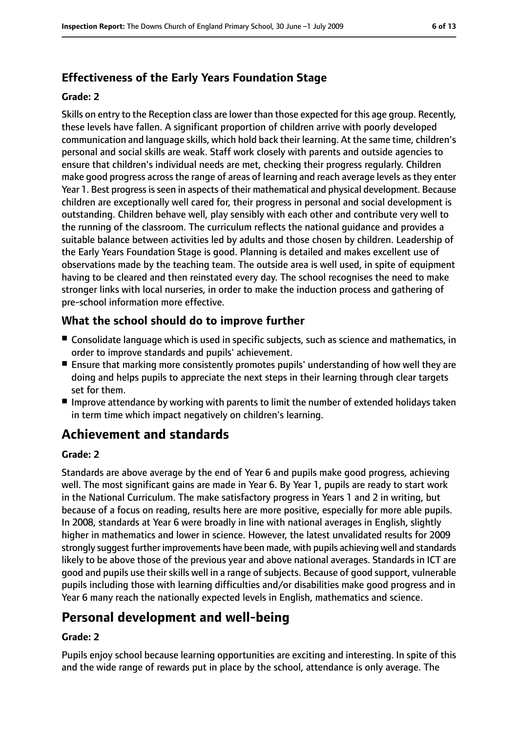### **Effectiveness of the Early Years Foundation Stage**

#### **Grade: 2**

Skills on entry to the Reception class are lower than those expected for this age group. Recently, these levels have fallen. A significant proportion of children arrive with poorly developed communication and language skills, which hold back their learning. At the same time, children's personal and social skills are weak. Staff work closely with parents and outside agencies to ensure that children's individual needs are met, checking their progress regularly. Children make good progress acrossthe range of areas of learning and reach average levels asthey enter Year 1. Best progressisseen in aspects of their mathematical and physical development. Because children are exceptionally well cared for, their progress in personal and social development is outstanding. Children behave well, play sensibly with each other and contribute very well to the running of the classroom. The curriculum reflects the national guidance and provides a suitable balance between activities led by adults and those chosen by children. Leadership of the Early Years Foundation Stage is good. Planning is detailed and makes excellent use of observations made by the teaching team. The outside area is well used, in spite of equipment having to be cleared and then reinstated every day. The school recognises the need to make stronger links with local nurseries, in order to make the induction process and gathering of pre-school information more effective.

#### **What the school should do to improve further**

- Consolidate language which is used in specific subjects, such as science and mathematics, in order to improve standards and pupils' achievement.
- Ensure that marking more consistently promotes pupils' understanding of how well they are doing and helps pupils to appreciate the next steps in their learning through clear targets set for them.
- Improve attendance by working with parents to limit the number of extended holidays taken in term time which impact negatively on children's learning.

### **Achievement and standards**

#### **Grade: 2**

Standards are above average by the end of Year 6 and pupils make good progress, achieving well. The most significant gains are made in Year 6. By Year 1, pupils are ready to start work in the National Curriculum. The make satisfactory progress in Years 1 and 2 in writing, but because of a focus on reading, results here are more positive, especially for more able pupils. In 2008, standards at Year 6 were broadly in line with national averages in English, slightly higher in mathematics and lower in science. However, the latest unvalidated results for 2009 strongly suggest further improvements have been made, with pupils achieving well and standards likely to be above those of the previous year and above national averages. Standards in ICT are good and pupils use their skills well in a range of subjects. Because of good support, vulnerable pupils including those with learning difficulties and/or disabilities make good progress and in Year 6 many reach the nationally expected levels in English, mathematics and science.

### **Personal development and well-being**

#### **Grade: 2**

Pupils enjoy school because learning opportunities are exciting and interesting. In spite of this and the wide range of rewards put in place by the school, attendance is only average. The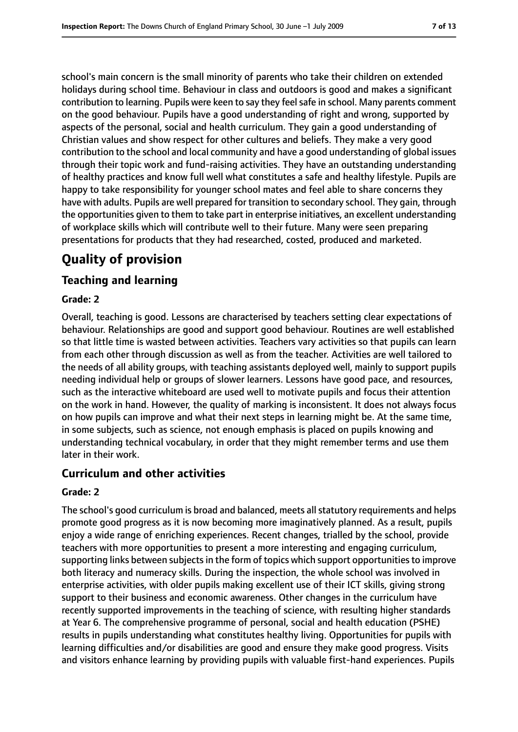school's main concern is the small minority of parents who take their children on extended holidays during school time. Behaviour in class and outdoors is good and makes a significant contribution to learning. Pupils were keen to say they feelsafe in school. Many parents comment on the good behaviour. Pupils have a good understanding of right and wrong, supported by aspects of the personal, social and health curriculum. They gain a good understanding of Christian values and show respect for other cultures and beliefs. They make a very good contribution to the school and local community and have a good understanding of global issues through their topic work and fund-raising activities. They have an outstanding understanding of healthy practices and know full well what constitutes a safe and healthy lifestyle. Pupils are happy to take responsibility for younger school mates and feel able to share concerns they have with adults. Pupils are well prepared for transition to secondary school. They gain, through the opportunities given to them to take part in enterprise initiatives, an excellent understanding of workplace skills which will contribute well to their future. Many were seen preparing presentations for products that they had researched, costed, produced and marketed.

### **Quality of provision**

#### **Teaching and learning**

#### **Grade: 2**

Overall, teaching is good. Lessons are characterised by teachers setting clear expectations of behaviour. Relationships are good and support good behaviour. Routines are well established so that little time is wasted between activities. Teachers vary activities so that pupils can learn from each other through discussion as well as from the teacher. Activities are well tailored to the needs of all ability groups, with teaching assistants deployed well, mainly to support pupils needing individual help or groups of slower learners. Lessons have good pace, and resources, such as the interactive whiteboard are used well to motivate pupils and focus their attention on the work in hand. However, the quality of marking is inconsistent. It does not always focus on how pupils can improve and what their next steps in learning might be. At the same time, in some subjects, such as science, not enough emphasis is placed on pupils knowing and understanding technical vocabulary, in order that they might remember terms and use them later in their work.

#### **Curriculum and other activities**

#### **Grade: 2**

The school's good curriculum is broad and balanced, meets all statutory requirements and helps promote good progress as it is now becoming more imaginatively planned. As a result, pupils enjoy a wide range of enriching experiences. Recent changes, trialled by the school, provide teachers with more opportunities to present a more interesting and engaging curriculum, supporting links between subjects in the form of topics which support opportunities to improve both literacy and numeracy skills. During the inspection, the whole school was involved in enterprise activities, with older pupils making excellent use of their ICT skills, giving strong support to their business and economic awareness. Other changes in the curriculum have recently supported improvements in the teaching of science, with resulting higher standards at Year 6. The comprehensive programme of personal, social and health education (PSHE) results in pupils understanding what constitutes healthy living. Opportunities for pupils with learning difficulties and/or disabilities are good and ensure they make good progress. Visits and visitors enhance learning by providing pupils with valuable first-hand experiences. Pupils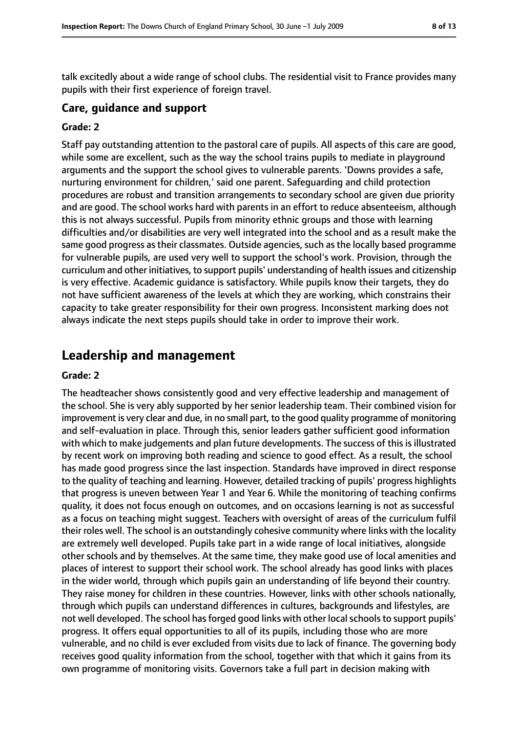talk excitedly about a wide range of school clubs. The residential visit to France provides many pupils with their first experience of foreign travel.

#### **Care, guidance and support**

#### **Grade: 2**

Staff pay outstanding attention to the pastoral care of pupils. All aspects of this care are good, while some are excellent, such as the way the school trains pupils to mediate in playground arguments and the support the school gives to vulnerable parents. 'Downs provides a safe, nurturing environment for children,' said one parent. Safeguarding and child protection procedures are robust and transition arrangements to secondary school are given due priority and are good. The school works hard with parents in an effort to reduce absenteeism, although this is not always successful. Pupils from minority ethnic groups and those with learning difficulties and/or disabilities are very well integrated into the school and as a result make the same good progress as their classmates. Outside agencies, such as the locally based programme for vulnerable pupils, are used very well to support the school's work. Provision, through the curriculum and other initiatives, to support pupils' understanding of health issues and citizenship is very effective. Academic guidance is satisfactory. While pupils know their targets, they do not have sufficient awareness of the levels at which they are working, which constrains their capacity to take greater responsibility for their own progress. Inconsistent marking does not always indicate the next steps pupils should take in order to improve their work.

### **Leadership and management**

#### **Grade: 2**

The headteacher shows consistently good and very effective leadership and management of the school. She is very ably supported by her senior leadership team. Their combined vision for improvement is very clear and due, in no small part, to the good quality programme of monitoring and self-evaluation in place. Through this, senior leaders gather sufficient good information with which to make judgements and plan future developments. The success of this is illustrated by recent work on improving both reading and science to good effect. As a result, the school has made good progress since the last inspection. Standards have improved in direct response to the quality of teaching and learning. However, detailed tracking of pupils' progress highlights that progress is uneven between Year 1 and Year 6. While the monitoring of teaching confirms quality, it does not focus enough on outcomes, and on occasions learning is not as successful as a focus on teaching might suggest. Teachers with oversight of areas of the curriculum fulfil their roles well. The school is an outstandingly cohesive community where links with the locality are extremely well developed. Pupils take part in a wide range of local initiatives, alongside other schools and by themselves. At the same time, they make good use of local amenities and places of interest to support their school work. The school already has good links with places in the wider world, through which pupils gain an understanding of life beyond their country. They raise money for children in these countries. However, links with other schools nationally, through which pupils can understand differences in cultures, backgrounds and lifestyles, are not well developed. The school has forged good links with other local schools to support pupils' progress. It offers equal opportunities to all of its pupils, including those who are more vulnerable, and no child is ever excluded from visits due to lack of finance. The governing body receives good quality information from the school, together with that which it gains from its own programme of monitoring visits. Governors take a full part in decision making with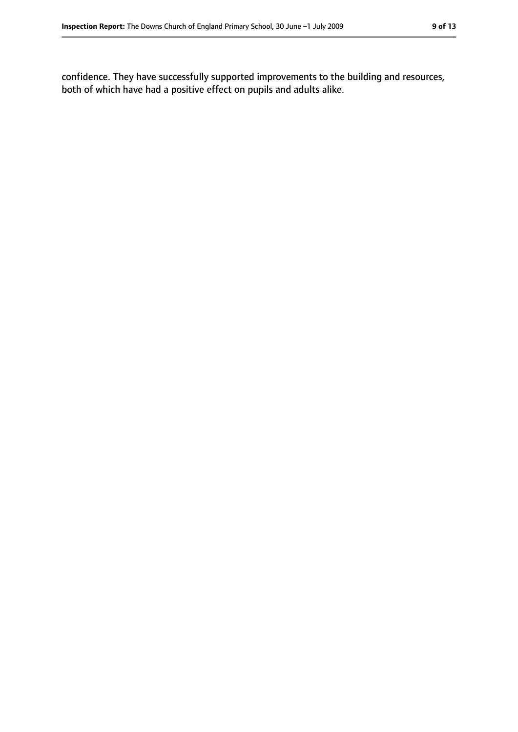confidence. They have successfully supported improvements to the building and resources, both of which have had a positive effect on pupils and adults alike.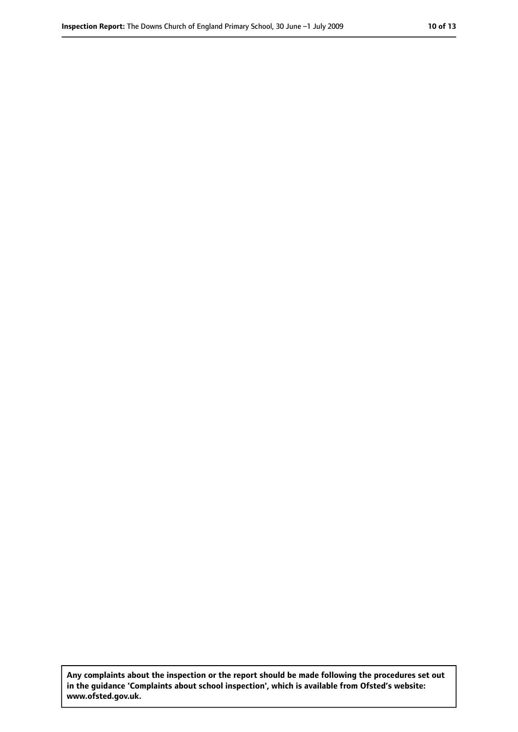**Any complaints about the inspection or the report should be made following the procedures set out in the guidance 'Complaints about school inspection', which is available from Ofsted's website: www.ofsted.gov.uk.**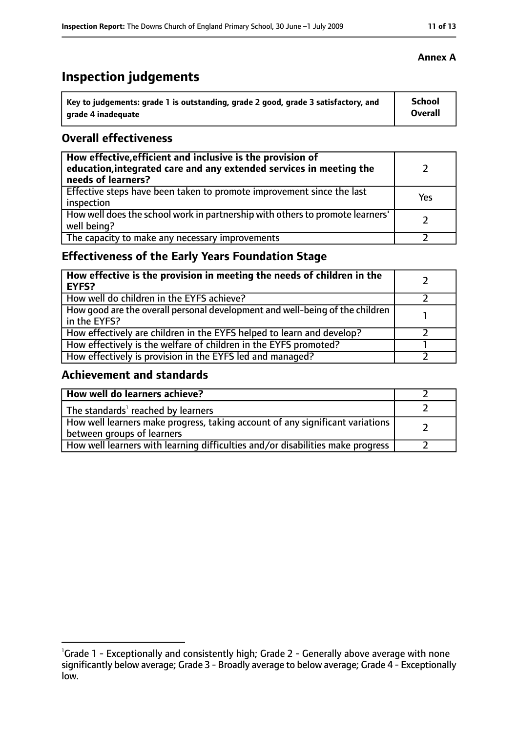### **Inspection judgements**

| \ Key to judgements: grade 1 is outstanding, grade 2 good, grade 3 satisfactory, and | <b>School</b>  |
|--------------------------------------------------------------------------------------|----------------|
| arade 4 inadequate                                                                   | <b>Overall</b> |

#### **Overall effectiveness**

| How effective, efficient and inclusive is the provision of<br>education, integrated care and any extended services in meeting the<br>needs of learners? |     |
|---------------------------------------------------------------------------------------------------------------------------------------------------------|-----|
| Effective steps have been taken to promote improvement since the last<br>inspection                                                                     | Yes |
| How well does the school work in partnership with others to promote learners'<br>well being?                                                            |     |
| The capacity to make any necessary improvements                                                                                                         |     |

#### **Effectiveness of the Early Years Foundation Stage**

| How effective is the provision in meeting the needs of children in the<br><b>EYFS?</b>       |  |
|----------------------------------------------------------------------------------------------|--|
| How well do children in the EYFS achieve?                                                    |  |
| How good are the overall personal development and well-being of the children<br>in the EYFS? |  |
| How effectively are children in the EYFS helped to learn and develop?                        |  |
| How effectively is the welfare of children in the EYFS promoted?                             |  |
| How effectively is provision in the EYFS led and managed?                                    |  |

#### **Achievement and standards**

| How well do learners achieve?                                                                               |  |
|-------------------------------------------------------------------------------------------------------------|--|
| The standards <sup>1</sup> reached by learners                                                              |  |
| How well learners make progress, taking account of any significant variations<br>between groups of learners |  |
| How well learners with learning difficulties and/or disabilities make progress                              |  |

#### **Annex A**

<sup>&</sup>lt;sup>1</sup>Grade 1 - Exceptionally and consistently high; Grade 2 - Generally above average with none significantly below average; Grade 3 - Broadly average to below average; Grade 4 - Exceptionally low.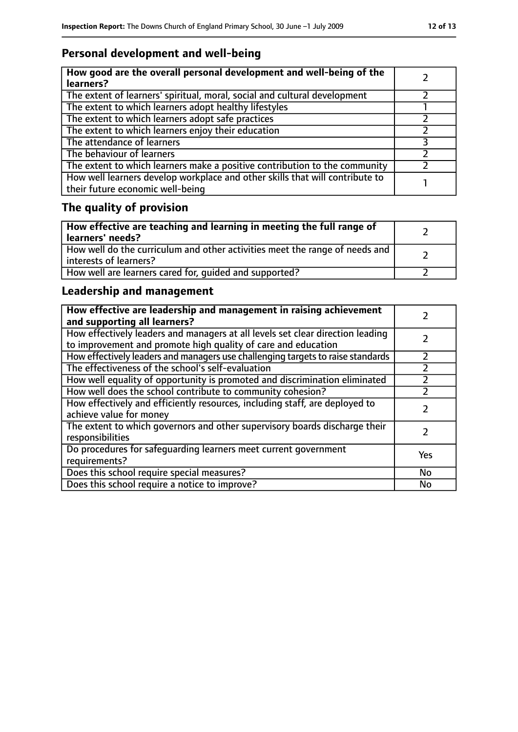### **Personal development and well-being**

| How good are the overall personal development and well-being of the<br>learners?                                 |  |
|------------------------------------------------------------------------------------------------------------------|--|
| The extent of learners' spiritual, moral, social and cultural development                                        |  |
| The extent to which learners adopt healthy lifestyles                                                            |  |
| The extent to which learners adopt safe practices                                                                |  |
| The extent to which learners enjoy their education                                                               |  |
| The attendance of learners                                                                                       |  |
| The behaviour of learners                                                                                        |  |
| The extent to which learners make a positive contribution to the community                                       |  |
| How well learners develop workplace and other skills that will contribute to<br>their future economic well-being |  |

## **The quality of provision**

| How effective are teaching and learning in meeting the full range of<br>learners' needs?              |  |
|-------------------------------------------------------------------------------------------------------|--|
| How well do the curriculum and other activities meet the range of needs and<br>interests of learners? |  |
| How well are learners cared for, quided and supported?                                                |  |

### **Leadership and management**

| How effective are leadership and management in raising achievement<br>and supporting all learners?                                              |     |
|-------------------------------------------------------------------------------------------------------------------------------------------------|-----|
| How effectively leaders and managers at all levels set clear direction leading<br>to improvement and promote high quality of care and education |     |
| How effectively leaders and managers use challenging targets to raise standards                                                                 |     |
| The effectiveness of the school's self-evaluation                                                                                               |     |
| How well equality of opportunity is promoted and discrimination eliminated                                                                      |     |
| How well does the school contribute to community cohesion?                                                                                      |     |
| How effectively and efficiently resources, including staff, are deployed to<br>achieve value for money                                          |     |
| The extent to which governors and other supervisory boards discharge their<br>responsibilities                                                  |     |
| Do procedures for safequarding learners meet current government<br>requirements?                                                                | Yes |
| Does this school require special measures?                                                                                                      | No  |
| Does this school require a notice to improve?                                                                                                   | No  |